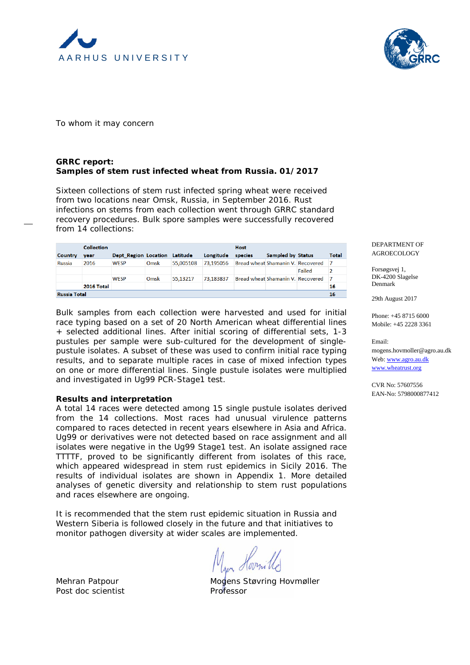



To whom it may concern

## **GRRC report: Samples of stem rust infected wheat from Russia. 01/2017**

Sixteen collections of stem rust infected spring wheat were received from two locations near Omsk, Russia, in September 2016. Rust infections on stems from each collection went through GRRC standard recovery procedures. Bulk spore samples were successfully recovered from 14 collections:

|                     | <b>Collection</b> |                      |      |           |           | <b>Host</b>                       |                                   |        |       |
|---------------------|-------------------|----------------------|------|-----------|-----------|-----------------------------------|-----------------------------------|--------|-------|
| Country             | vear              | Dept Region Location |      | Latitude  | Longitude | species                           | <b>Sampled by Status</b>          |        | Total |
| <b>Russia</b>       | 2016              | <b>WESP</b>          | Omsk | 55,005108 | 73,195056 | Bread wheat Shamanin V. Recovered |                                   |        | - 7   |
|                     |                   |                      |      |           |           |                                   |                                   | Failed | 2     |
|                     |                   | <b>WESP</b>          | Omsk | 55,13217  | 73,183837 |                                   | Bread wheat Shamanin V. Recovered |        |       |
|                     | 2016 Total        |                      |      |           |           |                                   |                                   |        | 16    |
| <b>Russia Total</b> |                   |                      |      |           |           |                                   |                                   |        |       |

Bulk samples from each collection were harvested and used for initial race typing based on a set of 20 North American wheat differential lines + selected additional lines. After initial scoring of differential sets, 1-3 pustules per sample were sub-cultured for the development of singlepustule isolates. A subset of these was used to confirm initial race typing results, and to separate multiple races in case of mixed infection types on one or more differential lines. Single pustule isolates were multiplied and investigated in Ug99 PCR-Stage1 test.

## **Results and interpretation**

A total 14 races were detected among 15 single pustule isolates derived from the 14 collections. Most races had unusual virulence patterns compared to races detected in recent years elsewhere in Asia and Africa. Ug99 or derivatives were not detected based on race assignment and all isolates were negative in the Ug99 Stage1 test. An isolate assigned race TTTTF, proved to be significantly different from isolates of this race, which appeared widespread in stem rust epidemics in Sicily 2016. The results of individual isolates are shown in Appendix 1. More detailed analyses of genetic diversity and relationship to stem rust populations and races elsewhere are ongoing.

It is recommended that the stem rust epidemic situation in Russia and Western Siberia is followed closely in the future and that initiatives to monitor pathogen diversity at wider scales are implemented.

Post doc scientist example and Professor

Mehran Patpour Mogens Støvring Hovmøller

DEPARTMENT OF AGROECOLOGY

Forsøgsvej 1, DK-4200 Slagelse Denmark

29th August 2017

Phone: +45 8715 6000 Mobile: +45 2228 3361

Email: mogens.hovmoller@agro.au.dk Web[: www.agro.au.dk](http://www.agro.au.dk/) [www.wheatrust.org](http://www.wheatrust.org/)

CVR No: 57607556 EAN-No: 5798000877412